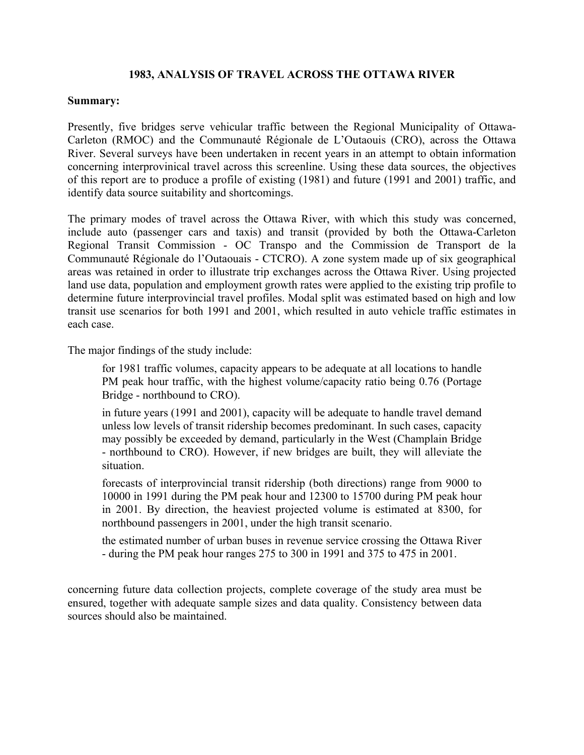## **1983, ANALYSIS OF TRAVEL ACROSS THE OTTAWA RIVER**

## **Summary:**

Presently, five bridges serve vehicular traffic between the Regional Municipality of Ottawa-Carleton (RMOC) and the Communauté Régionale de L'Outaouis (CRO), across the Ottawa River. Several surveys have been undertaken in recent years in an attempt to obtain information concerning interprovinical travel across this screenline. Using these data sources, the objectives of this report are to produce a profile of existing (1981) and future (1991 and 2001) traffic, and identify data source suitability and shortcomings.

The primary modes of travel across the Ottawa River, with which this study was concerned, include auto (passenger cars and taxis) and transit (provided by both the Ottawa-Carleton Regional Transit Commission - OC Transpo and the Commission de Transport de la Communauté Régionale do l'Outaouais - CTCRO). A zone system made up of six geographical areas was retained in order to illustrate trip exchanges across the Ottawa River. Using projected land use data, population and employment growth rates were applied to the existing trip profile to determine future interprovincial travel profiles. Modal split was estimated based on high and low transit use scenarios for both 1991 and 2001, which resulted in auto vehicle traffic estimates in each case.

The major findings of the study include:

for 1981 traffic volumes, capacity appears to be adequate at all locations to handle PM peak hour traffic, with the highest volume/capacity ratio being 0.76 (Portage Bridge - northbound to CRO).

in future years (1991 and 2001), capacity will be adequate to handle travel demand unless low levels of transit ridership becomes predominant. In such cases, capacity may possibly be exceeded by demand, particularly in the West (Champlain Bridge - northbound to CRO). However, if new bridges are built, they will alleviate the situation.

forecasts of interprovincial transit ridership (both directions) range from 9000 to 10000 in 1991 during the PM peak hour and 12300 to 15700 during PM peak hour in 2001. By direction, the heaviest projected volume is estimated at 8300, for northbound passengers in 2001, under the high transit scenario.

the estimated number of urban buses in revenue service crossing the Ottawa River - during the PM peak hour ranges 275 to 300 in 1991 and 375 to 475 in 2001.

concerning future data collection projects, complete coverage of the study area must be ensured, together with adequate sample sizes and data quality. Consistency between data sources should also be maintained.